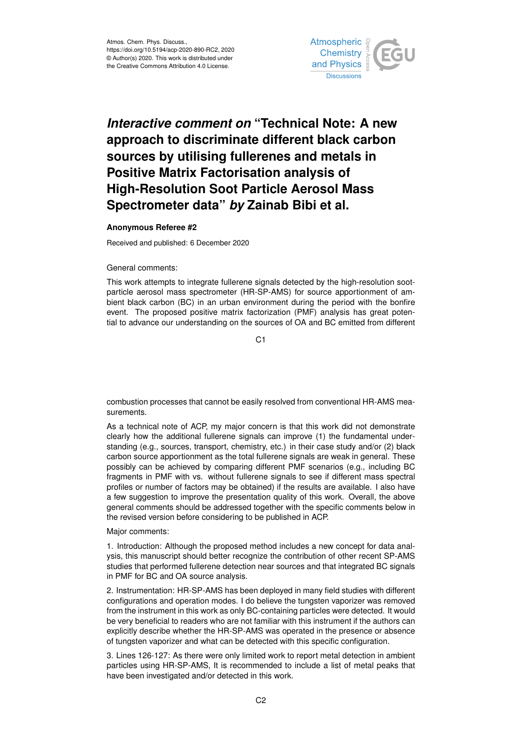

## *Interactive comment on* **"Technical Note: A new approach to discriminate different black carbon sources by utilising fullerenes and metals in Positive Matrix Factorisation analysis of High-Resolution Soot Particle Aerosol Mass Spectrometer data"** *by* **Zainab Bibi et al.**

## **Anonymous Referee #2**

Received and published: 6 December 2020

General comments:

This work attempts to integrate fullerene signals detected by the high-resolution sootparticle aerosol mass spectrometer (HR-SP-AMS) for source apportionment of ambient black carbon (BC) in an urban environment during the period with the bonfire event. The proposed positive matrix factorization (PMF) analysis has great potential to advance our understanding on the sources of OA and BC emitted from different

C1

combustion processes that cannot be easily resolved from conventional HR-AMS measurements.

As a technical note of ACP, my major concern is that this work did not demonstrate clearly how the additional fullerene signals can improve (1) the fundamental understanding (e.g., sources, transport, chemistry, etc.) in their case study and/or (2) black carbon source apportionment as the total fullerene signals are weak in general. These possibly can be achieved by comparing different PMF scenarios (e.g., including BC fragments in PMF with vs. without fullerene signals to see if different mass spectral profiles or number of factors may be obtained) if the results are available. I also have a few suggestion to improve the presentation quality of this work. Overall, the above general comments should be addressed together with the specific comments below in the revised version before considering to be published in ACP.

Major comments:

1. Introduction: Although the proposed method includes a new concept for data analysis, this manuscript should better recognize the contribution of other recent SP-AMS studies that performed fullerene detection near sources and that integrated BC signals in PMF for BC and OA source analysis.

2. Instrumentation: HR-SP-AMS has been deployed in many field studies with different configurations and operation modes. I do believe the tungsten vaporizer was removed from the instrument in this work as only BC-containing particles were detected. It would be very beneficial to readers who are not familiar with this instrument if the authors can explicitly describe whether the HR-SP-AMS was operated in the presence or absence of tungsten vaporizer and what can be detected with this specific configuration.

3. Lines 126-127: As there were only limited work to report metal detection in ambient particles using HR-SP-AMS, It is recommended to include a list of metal peaks that have been investigated and/or detected in this work.